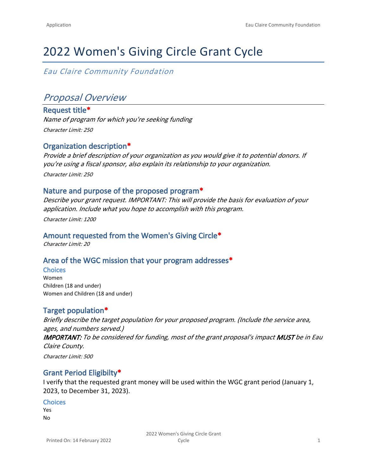# 2022 Women's Giving Circle Grant Cycle

*Eau Claire Community Foundation*

## *Proposal Overview*

**Request title\*** *Name of program for which you're seeking funding Character Limit: 250*

## **Organization description\***

*Provide a brief description of your organization as you would give it to potential donors. If you're using a fiscal sponsor, also explain its relationship to your organization. Character Limit: 250*

#### **Nature and purpose of the proposed program\***

*Describe your grant request. IMPORTANT: This will provide the basis for evaluation of your application. Include what you hope to accomplish with this program. Character Limit: 1200*

#### **Amount requested from the Women's Giving Circle\***

*Character Limit: 20*

#### **Area of the WGC mission that your program addresses\***

**Choices** Women Children (18 and under) Women and Children (18 and under)

## **Target population\***

*Briefly describe the target population for your proposed program. (Include the service area, ages, and numbers served.) IMPORTANT: To be considered for funding, most of the grant proposal's impact MUST be in Eau Claire County. Character Limit: 500*

#### **Grant Period Eligibilty\***

I verify that the requested grant money will be used within the WGC grant period (January 1, 2023, to December 31, 2023).

#### **Choices**

Yes No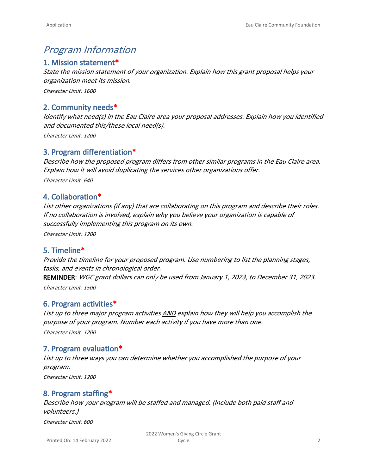## *Program Information*

## **1. Mission statement\***

*State the mission statement of your organization. Explain how this grant proposal helps your organization meet its mission.*

*Character Limit: 1600*

## **2. Community needs\***

*Identify what need(s) in the Eau Claire area your proposal addresses. Explain how you identified and documented this/these local need(s).*

*Character Limit: 1200*

## **3. Program differentiation\***

*Describe how the proposed program differs from other similar programs in the Eau Claire area. Explain how it will avoid duplicating the services other organizations offer.*

*Character Limit: 640*

## **4. Collaboration\***

*List other organizations (if any) that are collaborating on this program and describe their roles. If no collaboration is involved, explain why you believe your organization is capable of successfully implementing this program on its own.*

*Character Limit: 1200*

## **5. Timeline\***

*Provide the timeline for your proposed program. Use numbering to list the planning stages, tasks, and events in chronological order.* 

**REMINDER**: *WGC grant dollars can only be used from January 1, 2023, to December 31, 2023. Character Limit: 1500*

## **6. Program activities\***

*List up to three major program activities AND explain how they will help you accomplish the purpose of your program. Number each activity if you have more than one. Character Limit: 1200*

## **7. Program evaluation\***

*List up to three ways you can determine whether you accomplished the purpose of your program.* 

*Character Limit: 1200*

## **8. Program staffing\***

*Describe how your program will be staffed and managed. (Include both paid staff and volunteers.)*

*Character Limit: 600*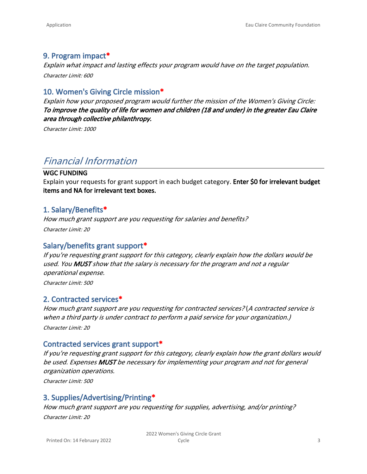## **9. Program impact\***

*Explain what impact and lasting effects your program would have on the target population. Character Limit: 600*

## **10. Women's Giving Circle mission\***

*Explain how your proposed program would further the mission of the Women's Giving Circle: To improve the quality of life for women and children (18 and under) in the greater Eau Claire area through collective philanthropy.*

*Character Limit: 1000*

## *Financial Information*

#### **WGC FUNDING**

Explain your requests for grant support in each budget category. **Enter \$0 for irrelevant budget items and NA for irrelevant text boxes.**

#### **1. Salary/Benefits\***

*How much grant support are you requesting for salaries and benefits? Character Limit: 20*

#### **Salary/benefits grant support\***

*If you're requesting grant support for this category, clearly explain how the dollars would be used. You MUST show that the salary is necessary for the program and not a regular operational expense.*

*Character Limit: 500*

#### **2. Contracted services\***

*How much grant support are you requesting for contracted services?* (*A contracted service is when a third party is under contract to perform a paid service for your organization.) Character Limit: 20*

#### **Contracted services grant support\***

*If you're requesting grant support for this category, clearly explain how the grant dollars would be used. Expenses MUST be necessary for implementing your program and not for general organization operations.* 

*Character Limit: 500*

## **3. Supplies/Advertising/Printing\***

*How much grant support are you requesting for supplies, advertising, and/or printing? Character Limit: 20*

Printed On: 14 February 2022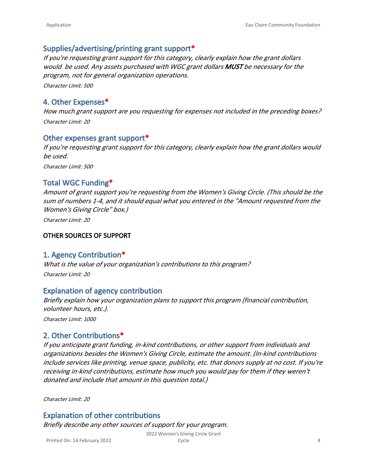## **Supplies/advertising/printing grant support\***

*If you're requesting grant support for this category, clearly explain how the grant dollars would be used. Any assets purchased with WGC grant dollars MUST be necessary for the program, not for general organization operations. Character Limit: 500*

## **4. Other Expenses\***

*How much grant support are you requesting for expenses not included in the preceding boxes? Character Limit: 20*

#### **Other expenses grant support\***

*If you're requesting grant support for this category, clearly explain how the grant dollars would be used. Character Limit: 500*

## **Total WGC Funding\***

*Amount of grant support you're requesting from the Women's Giving Circle. (This should be the sum of numbers 1-4, and it should equal what you entered in the "Amount requested from the Women's Giving Circle" box.)*

*Character Limit: 20*

#### **OTHER SOURCES OF SUPPORT**

#### **1. Agency Contribution\***

*What is the value of your organization's contributions to this program? Character Limit: 20*

#### **Explanation of agency contribution**

*Briefly explain how your organization plans to support this program (financial contribution, volunteer hours, etc.).*

*Character Limit: 1000*

#### **2. Other Contributions\***

*If you anticipate grant funding, in-kind contributions, or other support from individuals and organizations besides the Women's Giving Circle, estimate the amount. (In-kind contributions include services like printing, venue space, publicity, etc. that donors supply at no cost. If you're receiving in-kind contributions, estimate how much you would pay for them if they weren't donated and include that amount in this question total.)*

*Character Limit: 20*

#### **Explanation of other contributions**

*Briefly describe any other sources of support for your program.*

2022 Women's Giving Circle Grant Cycle **4** 

Printed On: 14 February 2022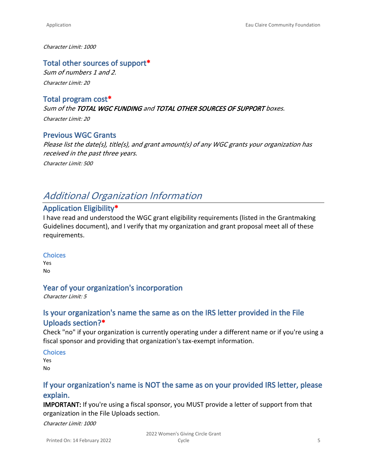#### *Character Limit: 1000*

#### **Total other sources of support\***

*Sum of numbers 1 and 2. Character Limit: 20*

#### **Total program cost\***

*Sum of the TOTAL WGC FUNDING and TOTAL OTHER SOURCES OF SUPPORT boxes.*

*Character Limit: 20*

#### **Previous WGC Grants**

*Please list the date(s), title(s), and grant amount(s) of any WGC grants your organization has received in the past three years. Character Limit: 500*

## *Additional Organization Information*

## **Application Eligibility\***

I have read and understood the WGC grant eligibility requirements (listed in the [Grantmaking](https://eccfwi.org/wp-content/uploads/2021/03/2021-Grant-Writing-Guidelines.pdf)  [Guidelines](https://eccfwi.org/wp-content/uploads/2021/03/2021-Grant-Writing-Guidelines.pdf) document), and I verify that my organization and grant proposal meet all of these requirements.

#### **Choices**

Yes No

#### **Year of your organization's incorporation**

*Character Limit: 5*

## **Is your organization's name the same as on the IRS letter provided in the File Uploads section?\***

Check "no" if your organization is currently operating under a different name or if you're using a fiscal sponsor and providing that organization's tax-exempt information.

**Choices**

Yes No

## **If your organization's name is NOT the same as on your provided IRS letter, please explain.**

**IMPORTANT:** If you're using a fiscal sponsor, you MUST provide a letter of support from that organization in the File Uploads section.

*Character Limit: 1000*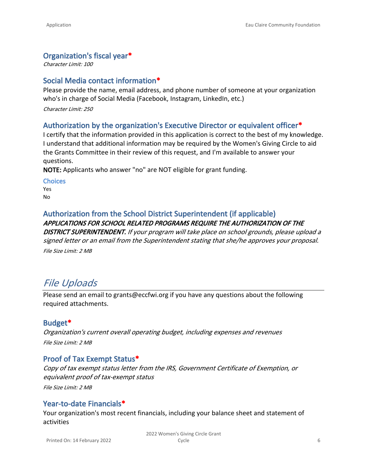## **Organization's fiscal year\***

*Character Limit: 100*

## **Social Media contact information\***

Please provide the name, email address, and phone number of someone at your organization who's in charge of Social Media (Facebook, Instagram, LinkedIn, etc.)

*Character Limit: 250*

## **Authorization by the organization's Executive Director or equivalent officer\***

I certify that the information provided in this application is correct to the best of my knowledge. I understand that additional information may be required by the Women's Giving Circle to aid the Grants Committee in their review of this request, and I'm available to answer your questions.

**NOTE:** Applicants who answer "no" are NOT eligible for grant funding.

**Choices**

Yes No

### **Authorization from the School District Superintendent (if applicable)** *APPLICATIONS FOR SCHOOL RELATED PROGRAMS REQUIRE THE AUTHORIZATION OF THE*

*DISTRICT SUPERINTENDENT. If your program will take place on school grounds, please upload a signed letter or an email from the Superintendent stating that she/he approves your proposal. File Size Limit: 2 MB*

## *File Uploads*

Please send an email to [grants@eccfwi.org](mailto:grants@eccfwi.org) if you have any questions about the following required attachments.

## **Budget\***

*Organization's current overall operating budget, including expenses and revenues File Size Limit: 2 MB*

## **Proof of Tax Exempt Status\***

*Copy of tax exempt status letter from the IRS, Government Certificate of Exemption, or equivalent proof of tax-exempt status File Size Limit: 2 MB*

## **Year-to-date Financials\***

Your organization's most recent financials, including your balance sheet and statement of activities